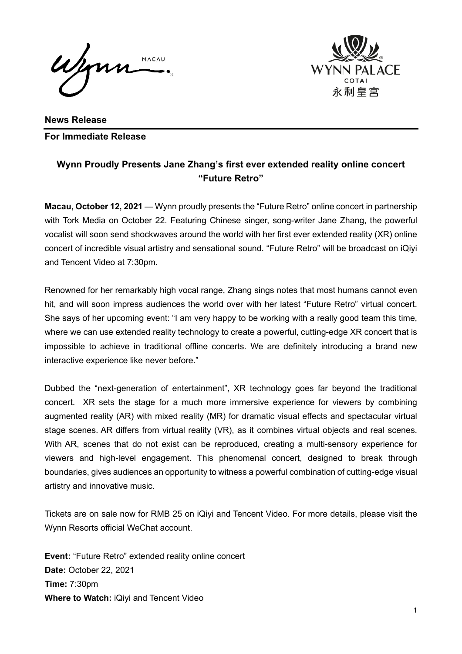Wym MACAU



**News Release For Immediate Release** 

## **Wynn Proudly Presents Jane Zhang's first ever extended reality online concert "Future Retro"**

**Macau, October 12, 2021** — Wynn proudly presents the "Future Retro" online concert in partnership with Tork Media on October 22. Featuring Chinese singer, song-writer Jane Zhang, the powerful vocalist will soon send shockwaves around the world with her first ever extended reality (XR) online concert of incredible visual artistry and sensational sound. "Future Retro" will be broadcast on iQiyi and Tencent Video at 7:30pm.

Renowned for her remarkably high vocal range, Zhang sings notes that most humans cannot even hit, and will soon impress audiences the world over with her latest "Future Retro" virtual concert. She says of her upcoming event: "I am very happy to be working with a really good team this time, where we can use extended reality technology to create a powerful, cutting-edge XR concert that is impossible to achieve in traditional offline concerts. We are definitely introducing a brand new interactive experience like never before."

Dubbed the "next-generation of entertainment", XR technology goes far beyond the traditional concert. XR sets the stage for a much more immersive experience for viewers by combining augmented reality (AR) with mixed reality (MR) for dramatic visual effects and spectacular virtual stage scenes. AR differs from virtual reality (VR), as it combines virtual objects and real scenes. With AR, scenes that do not exist can be reproduced, creating a multi-sensory experience for viewers and high-level engagement. This phenomenal concert, designed to break through boundaries, gives audiences an opportunity to witness a powerful combination of cutting-edge visual artistry and innovative music.

Tickets are on sale now for RMB 25 on iQiyi and Tencent Video. For more details, please visit the Wynn Resorts official WeChat account.

**Event:** "Future Retro" extended reality online concert **Date:** October 22, 2021 **Time:** 7:30pm **Where to Watch:** iQiyi and Tencent Video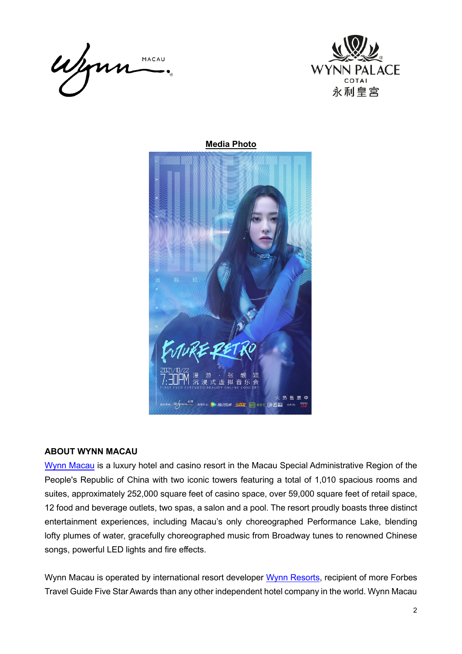



**Media Photo**



## **ABOUT WYNN MACAU**

[Wynn Macau](https://www.wynnmacau.com/en) is a luxury hotel and casino resort in the Macau Special Administrative Region of the People's Republic of China with two iconic towers featuring a total of 1,010 spacious rooms and suites, approximately 252,000 square feet of casino space, over 59,000 square feet of retail space, 12 food and beverage outlets, two spas, a salon and a pool. The resort proudly boasts three distinct entertainment experiences, including Macau's only choreographed Performance Lake, blending lofty plumes of water, gracefully choreographed music from Broadway tunes to renowned Chinese songs, powerful LED lights and fire effects.

Wynn Macau is operated by international resort developer [Wynn Resorts,](http://www.wynnresorts.com/) recipient of more Forbes Travel Guide Five Star Awards than any other independent hotel company in the world. Wynn Macau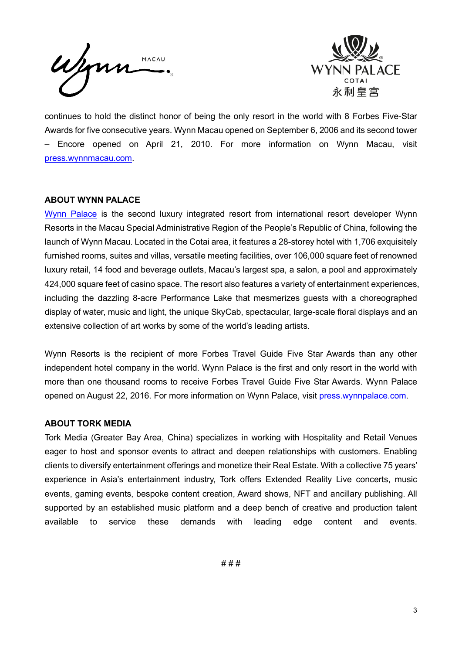Wynn MACAU



continues to hold the distinct honor of being the only resort in the world with 8 Forbes Five-Star Awards for five consecutive years. Wynn Macau opened on September 6, 2006 and its second tower – Encore opened on April 21, 2010. For more information on Wynn Macau, visit [press.wynnmacau.com.](https://press.wynnmacau.com/en)

## **ABOUT WYNN PALACE**

[Wynn Palace](https://www.wynnpalace.com/en) is the second luxury integrated resort from international resort developer Wynn Resorts in the Macau Special Administrative Region of the People's Republic of China, following the launch of Wynn Macau. Located in the Cotai area, it features a 28-storey hotel with 1,706 exquisitely furnished rooms, suites and villas, versatile meeting facilities, over 106,000 square feet of renowned luxury retail, 14 food and beverage outlets, Macau's largest spa, a salon, a pool and approximately 424,000 square feet of casino space. The resort also features a variety of entertainment experiences, including the dazzling 8-acre Performance Lake that mesmerizes guests with a choreographed display of water, music and light, the unique SkyCab, spectacular, large-scale floral displays and an extensive collection of art works by some of the world's leading artists.

Wynn Resorts is the recipient of more Forbes Travel Guide Five Star Awards than any other independent hotel company in the world. Wynn Palace is the first and only resort in the world with more than one thousand rooms to receive Forbes Travel Guide Five Star Awards. Wynn Palace opened on August 22, 2016. For more information on Wynn Palace, visit [press.wynnpalace.com.](https://press.wynnpalace.com/en)

## **ABOUT TORK MEDIA**

Tork Media (Greater Bay Area, China) specializes in working with Hospitality and Retail Venues eager to host and sponsor events to attract and deepen relationships with customers. Enabling clients to diversify entertainment offerings and monetize their Real Estate. With a collective 75 years' experience in Asia's entertainment industry, Tork offers Extended Reality Live concerts, music events, gaming events, bespoke content creation, Award shows, NFT and ancillary publishing. All supported by an established music platform and a deep bench of creative and production talent available to service these demands with leading edge content and events.

# # #